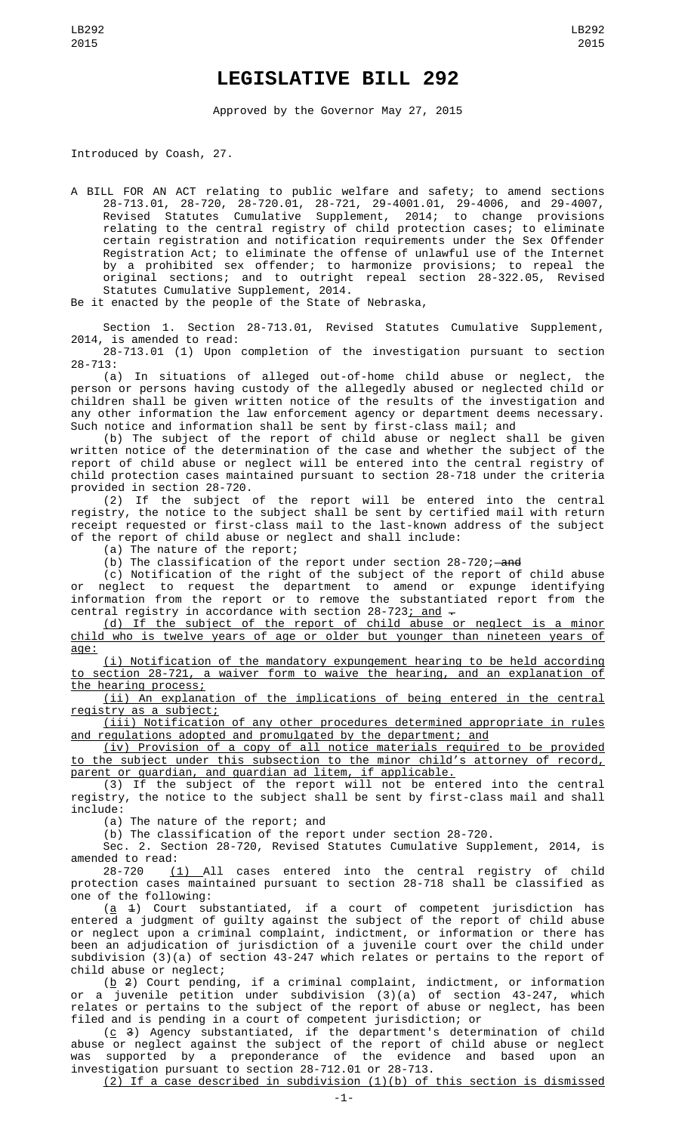## **LEGISLATIVE BILL 292**

Approved by the Governor May 27, 2015

Introduced by Coash, 27.

A BILL FOR AN ACT relating to public welfare and safety; to amend sections 28-713.01, 28-720, 28-720.01, 28-721, 29-4001.01, 29-4006, and 29-4007, Revised Statutes Cumulative Supplement, 2014; to change provisions relating to the central registry of child protection cases; to eliminate certain registration and notification requirements under the Sex Offender Registration Act; to eliminate the offense of unlawful use of the Internet by a prohibited sex offender; to harmonize provisions; to repeal the original sections; and to outright repeal section 28-322.05, Revised Statutes Cumulative Supplement, 2014.

Be it enacted by the people of the State of Nebraska,

Section 1. Section 28-713.01, Revised Statutes Cumulative Supplement, 2014, is amended to read:

28-713.01 (1) Upon completion of the investigation pursuant to section 28-713:

(a) In situations of alleged out-of-home child abuse or neglect, the person or persons having custody of the allegedly abused or neglected child or children shall be given written notice of the results of the investigation and any other information the law enforcement agency or department deems necessary. Such notice and information shall be sent by first-class mail; and

(b) The subject of the report of child abuse or neglect shall be given written notice of the determination of the case and whether the subject of the report of child abuse or neglect will be entered into the central registry of child protection cases maintained pursuant to section 28-718 under the criteria provided in section 28-720.

(2) If the subject of the report will be entered into the central registry, the notice to the subject shall be sent by certified mail with return receipt requested or first-class mail to the last-known address of the subject of the report of child abuse or neglect and shall include:

(a) The nature of the report;

 $(b)$  The classification of the report under section 28-720; and

(c) Notification of the right of the subject of the report of child abuse or neglect to request the department to amend or expunge identifying information from the report or to remove the substantiated report from the central registry in accordance with section 28-723; and -

(d) If the subject of the report of child abuse or neglect is a minor child who is twelve years of age or older but younger than nineteen years of age:

(i) Notification of the mandatory expungement hearing to be held according to section 28-721, a waiver form to waive the hearing, and an explanation of the hearing process;

(ii) An explanation of the implications of being entered in the central registry as a subject;

(iii) Notification of any other procedures determined appropriate in rules and regulations adopted and promulgated by the department; and

(iv) Provision of a copy of all notice materials required to be provided to the subject under this subsection to the minor child's attorney of record, parent or guardian, and guardian ad litem, if applicable.

(3) If the subject of the report will not be entered into the central registry, the notice to the subject shall be sent by first-class mail and shall include:

(a) The nature of the report; and

(b) The classification of the report under section 28-720.

Sec. 2. Section 28-720, Revised Statutes Cumulative Supplement, 2014, is amended to read:

28-720 (1) All cases entered into the central registry of child protection cases maintained pursuant to section 28-718 shall be classified as one of the following:

 $(a \t1)$  Court substantiated, if a court of competent jurisdiction has entered a judgment of guilty against the subject of the report of child abuse or neglect upon a criminal complaint, indictment, or information or there has been an adjudication of jurisdiction of a juvenile court over the child under subdivision (3)(a) of section 43-247 which relates or pertains to the report of child abuse or neglect;

( $\underline{b}$  2) Court pending, if a criminal complaint, indictment, or information or a juvenile petition under subdivision (3)(a) of section 43-247, which relates or pertains to the subject of the report of abuse or neglect, has been filed and is pending in a court of competent jurisdiction; or

( $\underline{c}$  3) Agency substantiated, if the department's determination of child abuse or neglect against the subject of the report of child abuse or neglect was supported by a preponderance of the evidence and based upon an investigation pursuant to section 28-712.01 or 28-713.

(2) If a case described in subdivision (1)(b) of this section is dismissed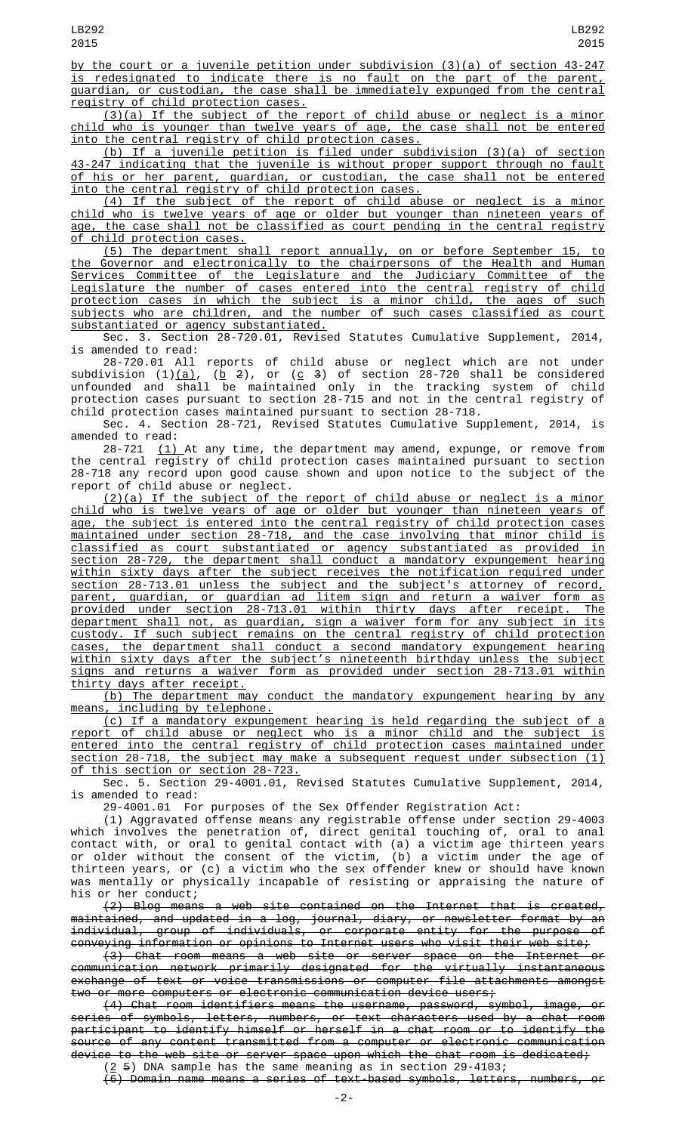by the court or a juvenile petition under subdivision (3)(a) of section 43-247 is redesignated to indicate there is no fault on the part of the parent, guardian, or custodian, the case shall be immediately expunged from the central registry of child protection cases.

 $(3)(a)$  If the subject of the report of child abuse or neglect is a minor child who is younger than twelve years of age, the case shall not be entered into the central registry of child protection cases.

(b) If a juvenile petition is filed under subdivision (3)(a) of section 43-247 indicating that the juvenile is without proper support through no fault of his or her parent, guardian, or custodian, the case shall not be entered into the central registry of child protection cases.

(4) If the subject of the report of child abuse or neglect is a minor child who is twelve years of age or older but younger than nineteen years of age, the case shall not be classified as court pending in the central registry of child protection cases.

(5) The department shall report annually, on or before September 15, to the Governor and electronically to the chairpersons of the Health and Human Services Committee of the Legislature and the Judiciary Committee of the Legislature the number of cases entered into the central registry of child protection cases in which the subject is a minor child, the ages of such subjects who are children, and the number of such cases classified as court substantiated or agency substantiated.

Sec. 3. Section 28-720.01, Revised Statutes Cumulative Supplement, 2014, is amended to read:

28-720.01 All reports of child abuse or neglect which are not under subdivision (1)(<u>a)</u>, (<u>b</u> 2), or (<u>c</u> 3) of section 28-720 shall be considered unfounded and shall be maintained only in the tracking system of child protection cases pursuant to section 28-715 and not in the central registry of child protection cases maintained pursuant to section 28-718.

Sec. 4. Section 28-721, Revised Statutes Cumulative Supplement, 2014, is amended to read:

28-721 <u>(1)</u> At any time, the department may amend, expunge, or remove from the central registry of child protection cases maintained pursuant to section 28-718 any record upon good cause shown and upon notice to the subject of the report of child abuse or neglect.

(2)(a) If the subject of the report of child abuse or neglect is a minor child who is twelve years of age or older but younger than nineteen years of age, the subject is entered into the central registry of child protection cases maintained under section 28-718, and the case involving that minor child is classified as court substantiated or agency substantiated as provided in section 28-720, the department shall conduct a mandatory expungement hearing within sixty days after the subject receives the notification required under section 28-713.01 unless the subject and the subject's attorney of record, parent, guardian, or guardian ad litem sign and return a waiver form as provided under section 28-713.01 within thirty days after receipt. The department shall not, as guardian, sign a waiver form for any subject in its custody. If such subject remains on the central registry of child protection cases, the department shall conduct a second mandatory expungement hearing within sixty days after the subject's nineteenth birthday unless the subject signs and returns a waiver form as provided under section 28-713.01 within thirty days after receipt.

(b) The department may conduct the mandatory expungement hearing by any means, including by telephone.

(c) If a mandatory expungement hearing is held regarding the subject of a report of child abuse or neglect who is a minor child and the subject is entered into the central registry of child protection cases maintained under section 28-718, the subject may make a subsequent request under subsection (1) of this section or section 28-723.

Sec. 5. Section 29-4001.01, Revised Statutes Cumulative Supplement, 2014, is amended to read:

29-4001.01 For purposes of the Sex Offender Registration Act:

(1) Aggravated offense means any registrable offense under section 29-4003 which involves the penetration of, direct genital touching of, oral to anal contact with, or oral to genital contact with (a) a victim age thirteen years or older without the consent of the victim, (b) a victim under the age of thirteen years, or (c) a victim who the sex offender knew or should have known was mentally or physically incapable of resisting or appraising the nature of his or her conduct;

(2) Blog means a web site contained on the Internet that is created, maintained, and updated in a log, journal, diary, or newsletter format by an individual, group of individuals, or corporate entity for the purpose of conveying information or opinions to Internet users who visit their web site;

(3) Chat room means a web site or server space on the Internet or communication network primarily designated for the virtually instantaneous exchange of text or voice transmissions or computer file attachments amongst two or more computers or electronic communication device users;

(4) Chat room identifiers means the username, password, symbol, image, or series of symbols, letters, numbers, or text characters used by a chat room participant to identify himself or herself in a chat room or to identify the source of any content transmitted from a computer or electronic communication device to the web site or server space upon which the chat room is dedicated;

 $(2 5)$  DNA sample has the same meaning as in section 29-4103; (6) Domain name means a series of text-based symbols, letters, numbers, or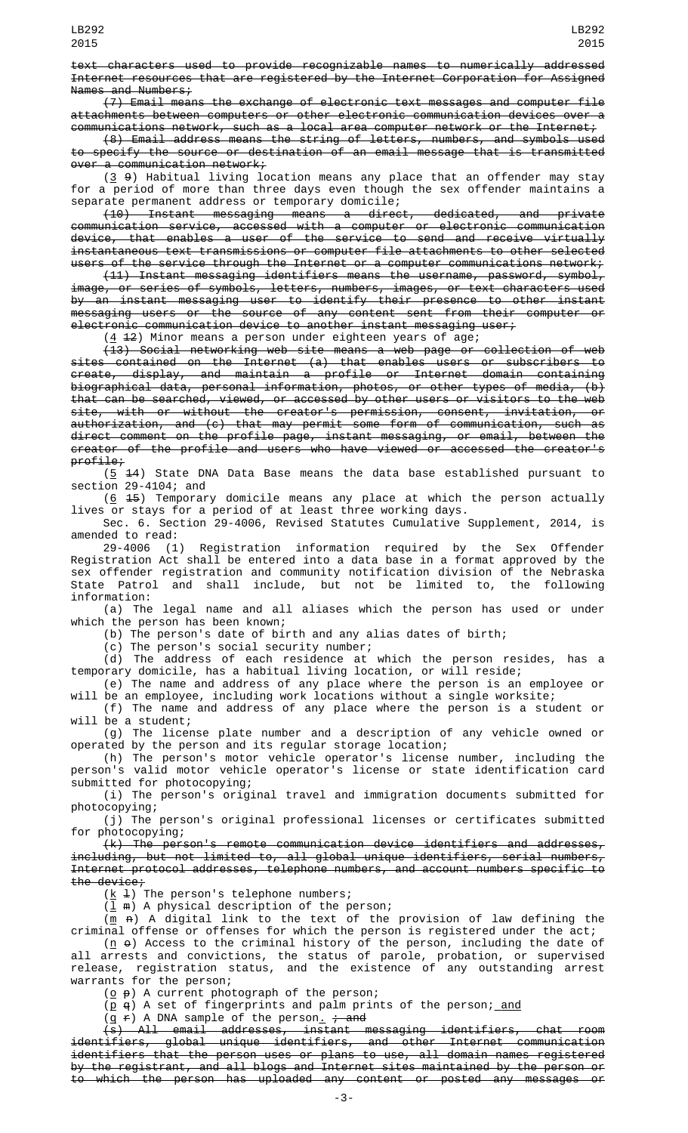LB292 2015

(7) Email means the exchange of electronic text messages and computer file attachments between computers or other electronic communication devices over a communications network, such as a local area computer network or the Internet;

(8) Email address means the string of letters, numbers, and symbols used to specify the source or destination of an email message that is transmitted  $over a$  communication network;

 $(3, 9)$  Habitual living location means any place that an offender may stay for a period of more than three days even though the sex offender maintains a separate permanent address or temporary domicile;

(10) Instant messaging means a direct, dedicated, and private communication service, accessed with a computer or electronic communication device, that enables a user of the service to send and receive virtually instantaneous text transmissions or computer file attachments to other selected users of the service through the Internet or a computer communications network;

(11) Instant messaging identifiers means the username, password, symbol, image, or series of symbols, letters, numbers, images, or text characters used by an instant messaging user to identify their presence to other instant messaging users or the source of any content sent from their computer or electronic communication device to another instant messaging user;

 $(4 12)$  Minor means a person under eighteen years of age;

(13) Social networking web site means a web page or collection of web sites contained on the Internet (a) that enables users or subscribers to create, display, and maintain a profile or Internet domain containing biographical data, personal information, photos, or other types of media, (b) that can be searched, viewed, or accessed by other users or visitors to the web site, with or without the creator's permission, consent, invitation, or authorization, and (c) that may permit some form of communication, such as direct comment on the profile page, instant messaging, or email, between the creator of the profile and users who have viewed or accessed the creator's profile;

(5 14) State DNA Data Base means the data base established pursuant to section 29-4104; and

 $(6, 15)$  Temporary domicile means any place at which the person actually lives or stays for a period of at least three working days.

Sec. 6. Section 29-4006, Revised Statutes Cumulative Supplement, 2014, is amended to read:<br>29-4006 (1)

Registration information required by the Sex Offender Registration Act shall be entered into a data base in a format approved by the sex offender registration and community notification division of the Nebraska State Patrol and shall include, but not be limited to, the following information:

(a) The legal name and all aliases which the person has used or under which the person has been known;

(b) The person's date of birth and any alias dates of birth;

(c) The person's social security number;

(d) The address of each residence at which the person resides, has a temporary domicile, has a habitual living location, or will reside;

(e) The name and address of any place where the person is an employee or will be an employee, including work locations without a single worksite;

(f) The name and address of any place where the person is a student or will be a student;

(g) The license plate number and a description of any vehicle owned or operated by the person and its regular storage location;

(h) The person's motor vehicle operator's license number, including the person's valid motor vehicle operator's license or state identification card submitted for photocopying;

(i) The person's original travel and immigration documents submitted for photocopying;

(j) The person's original professional licenses or certificates submitted for photocopying;

 $(k)$  The person's remote communication device identifiers and addresses, including, but not limited to, all global unique identifiers, serial numbers, Internet protocol addresses, telephone numbers, and account numbers specific to the device;

 $(\underline{k} \pm)$  The person's telephone numbers;

 $(\underline{1} \oplus)$  A physical description of the person;

 $(m \nvert A)$  A digital link to the text of the provision of law defining the criminal offense or offenses for which the person is registered under the act;

 $(n \theta)$  Access to the criminal history of the person, including the date of all arrests and convictions, the status of parole, probation, or supervised release, registration status, and the existence of any outstanding arrest warrants for the person;

 $(\underline{o} \rho)$  A current photograph of the person;

 $(p \ q)$  A set of fingerprints and palm prints of the person; and

 $(q f)$  A DNA sample of the person<u>.</u> <del>; and</del>

(s) All email addresses, instant messaging identifiers, chat room identifiers, global unique identifiers, and other Internet communication identifiers that the person uses or plans to use, all domain names registered by the registrant, and all blogs and Internet sites maintained by the person or to which the person has uploaded any content or posted any messages or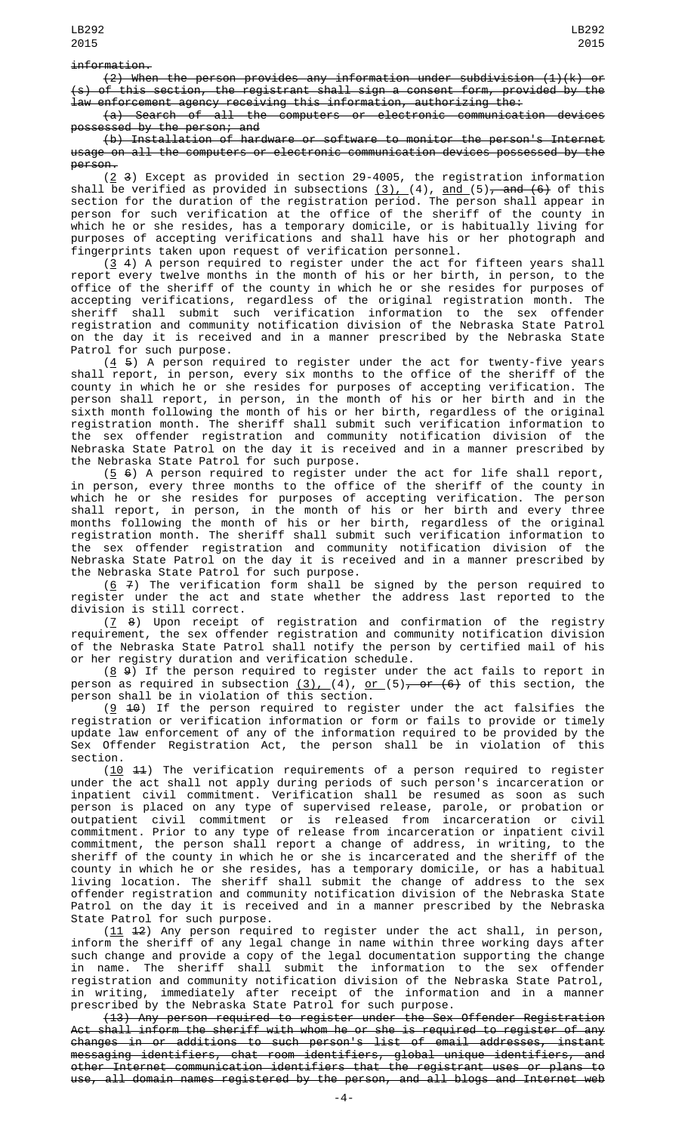## information.

(2) When the person provides any information under subdivision (1)(k) or (s) of this section, the registrant shall sign a consent form, provided by the law enforcement agency receiving this information, authorizing the:

(a) Search of all the computers or electronic communication devices possessed by the person; and

(b) Installation of hardware or software to monitor the person's Internet usage on all the computers or electronic communication devices possessed by the person.

 $(2, 3)$  Except as provided in section 29-4005, the registration information shall be verified as provided in subsections  $(3)$ ,  $(4)$ , <u>and  $(5)$ , and  $(6)$ </u> of this section for the duration of the registration period. The person shall appear in person for such verification at the office of the sheriff of the county in which he or she resides, has a temporary domicile, or is habitually living for purposes of accepting verifications and shall have his or her photograph and fingerprints taken upon request of verification personnel.

 $(3, 4)$  A person required to register under the act for fifteen years shall report every twelve months in the month of his or her birth, in person, to the office of the sheriff of the county in which he or she resides for purposes of accepting verifications, regardless of the original registration month. The sheriff shall submit such verification information to the sex offender registration and community notification division of the Nebraska State Patrol on the day it is received and in a manner prescribed by the Nebraska State Patrol for such purpose.

 $(4, 5)$  A person required to register under the act for twenty-five years shall report, in person, every six months to the office of the sheriff of the county in which he or she resides for purposes of accepting verification. The person shall report, in person, in the month of his or her birth and in the sixth month following the month of his or her birth, regardless of the original registration month. The sheriff shall submit such verification information to the sex offender registration and community notification division of the Nebraska State Patrol on the day it is received and in a manner prescribed by the Nebraska State Patrol for such purpose.

 $(5 6)$  A person required to register under the act for life shall report, in person, every three months to the office of the sheriff of the county in which he or she resides for purposes of accepting verification. The person shall report, in person, in the month of his or her birth and every three months following the month of his or her birth, regardless of the original registration month. The sheriff shall submit such verification information to the sex offender registration and community notification division of the Nebraska State Patrol on the day it is received and in a manner prescribed by the Nebraska State Patrol for such purpose.

 $(6 7)$  The verification form shall be signed by the person required to register under the act and state whether the address last reported to the division is still correct.

 $(7 \t8)$  Upon receipt of registration and confirmation of the registry requirement, the sex offender registration and community notification division of the Nebraska State Patrol shall notify the person by certified mail of his or her registry duration and verification schedule.

 $(8, 9)$  If the person required to register under the act fails to report in person as required in subsection <u>(3), (</u>4), <u>or (</u>5)<del>, or (6)</del> of this section, the person shall be in violation of this section.

 $(9 \t 10)$  If the person required to register under the act falsifies the registration or verification information or form or fails to provide or timely update law enforcement of any of the information required to be provided by the Sex Offender Registration Act, the person shall be in violation of this section.

 $(10 \t 11)$  The verification requirements of a person required to register under the act shall not apply during periods of such person's incarceration or inpatient civil commitment. Verification shall be resumed as soon as such person is placed on any type of supervised release, parole, or probation or outpatient civil commitment or is released from incarceration or civil commitment. Prior to any type of release from incarceration or inpatient civil commitment, the person shall report a change of address, in writing, to the sheriff of the county in which he or she is incarcerated and the sheriff of the county in which he or she resides, has a temporary domicile, or has a habitual living location. The sheriff shall submit the change of address to the sex offender registration and community notification division of the Nebraska State Patrol on the day it is received and in a manner prescribed by the Nebraska State Patrol for such purpose.

 $(11 \t 12)$  Any person required to register under the act shall, in person, inform the sheriff of any legal change in name within three working days after such change and provide a copy of the legal documentation supporting the change in name. The sheriff shall submit the information to the sex offender registration and community notification division of the Nebraska State Patrol, in writing, immediately after receipt of the information and in a manner prescribed by the Nebraska State Patrol for such purpose.

(13) Any person required to register under the Sex Offender Registration Act shall inform the sheriff with whom he or she is required to register of any changes in or additions to such person's list of email addresses, instant messaging identifiers, chat room identifiers, global unique identifiers, and other Internet communication identifiers that the registrant uses or plans to use, all domain names registered by the person, and all blogs and Internet web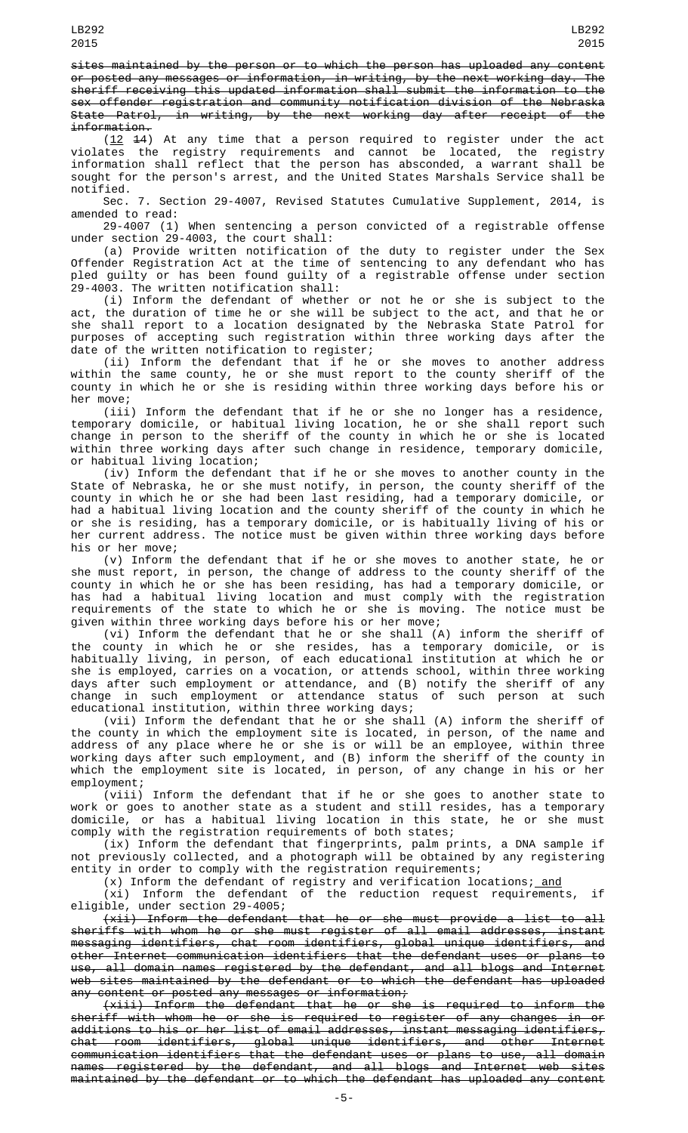sites maintained by the person or to which the person has uploaded any content or posted any messages or information, in writing, by the next working day. The sheriff receiving this updated information shall submit the information to the sex offender registration and community notification division of the Nebraska State Patrol, in writing, by the next working day after receipt of the information.

 $(12 \t 14)$  At any time that a person required to register under the act violates the registry requirements and cannot be located, the registry information shall reflect that the person has absconded, a warrant shall be sought for the person's arrest, and the United States Marshals Service shall be notified.

Sec. 7. Section 29-4007, Revised Statutes Cumulative Supplement, 2014, is amended to read:

29-4007 (1) When sentencing a person convicted of a registrable offense under section 29-4003, the court shall:

(a) Provide written notification of the duty to register under the Sex Offender Registration Act at the time of sentencing to any defendant who has pled guilty or has been found guilty of a registrable offense under section 29-4003. The written notification shall:

(i) Inform the defendant of whether or not he or she is subject to the act, the duration of time he or she will be subject to the act, and that he or she shall report to a location designated by the Nebraska State Patrol for purposes of accepting such registration within three working days after the date of the written notification to register;

(ii) Inform the defendant that if he or she moves to another address within the same county, he or she must report to the county sheriff of the county in which he or she is residing within three working days before his or her move;

(iii) Inform the defendant that if he or she no longer has a residence, temporary domicile, or habitual living location, he or she shall report such change in person to the sheriff of the county in which he or she is located within three working days after such change in residence, temporary domicile, or habitual living location;

(iv) Inform the defendant that if he or she moves to another county in the State of Nebraska, he or she must notify, in person, the county sheriff of the county in which he or she had been last residing, had a temporary domicile, or had a habitual living location and the county sheriff of the county in which he or she is residing, has a temporary domicile, or is habitually living of his or her current address. The notice must be given within three working days before his or her move;

(v) Inform the defendant that if he or she moves to another state, he or she must report, in person, the change of address to the county sheriff of the county in which he or she has been residing, has had a temporary domicile, or has had a habitual living location and must comply with the registration requirements of the state to which he or she is moving. The notice must be given within three working days before his or her move;

(vi) Inform the defendant that he or she shall (A) inform the sheriff of the county in which he or she resides, has a temporary domicile, or is habitually living, in person, of each educational institution at which he or she is employed, carries on a vocation, or attends school, within three working days after such employment or attendance, and (B) notify the sheriff of any change in such employment or attendance status of such person at such educational institution, within three working days;

(vii) Inform the defendant that he or she shall (A) inform the sheriff of the county in which the employment site is located, in person, of the name and address of any place where he or she is or will be an employee, within three working days after such employment, and (B) inform the sheriff of the county in which the employment site is located, in person, of any change in his or her employment;

(viii) Inform the defendant that if he or she goes to another state to work or goes to another state as a student and still resides, has a temporary domicile, or has a habitual living location in this state, he or she must comply with the registration requirements of both states;

(ix) Inform the defendant that fingerprints, palm prints, a DNA sample if not previously collected, and a photograph will be obtained by any registering entity in order to comply with the registration requirements;

 $(x)$  Inform the defendant of registry and verification locations; and

(xi) Inform the defendant of the reduction request requirements, if eligible, under section 29-4005;

(xii) Inform the defendant that he or she must provide a list to all sheriffs with whom he or she must register of all email addresses, instant messaging identifiers, chat room identifiers, global unique identifiers, and other Internet communication identifiers that the defendant uses or plans to use, all domain names registered by the defendant, and all blogs and Internet web sites maintained by the defendant or to which the defendant has uploaded any content or posted any messages or information;

(xiii) Inform the defendant that he or she is required to inform the sheriff with whom he or she is required to register of any changes in or additions to his or her list of email addresses, instant messaging identifiers, chat room identifiers, global unique identifiers, and other Internet communication identifiers that the defendant uses or plans to use, all domain names registered by the defendant, and all blogs and Internet web sites maintained by the defendant or to which the defendant has uploaded any content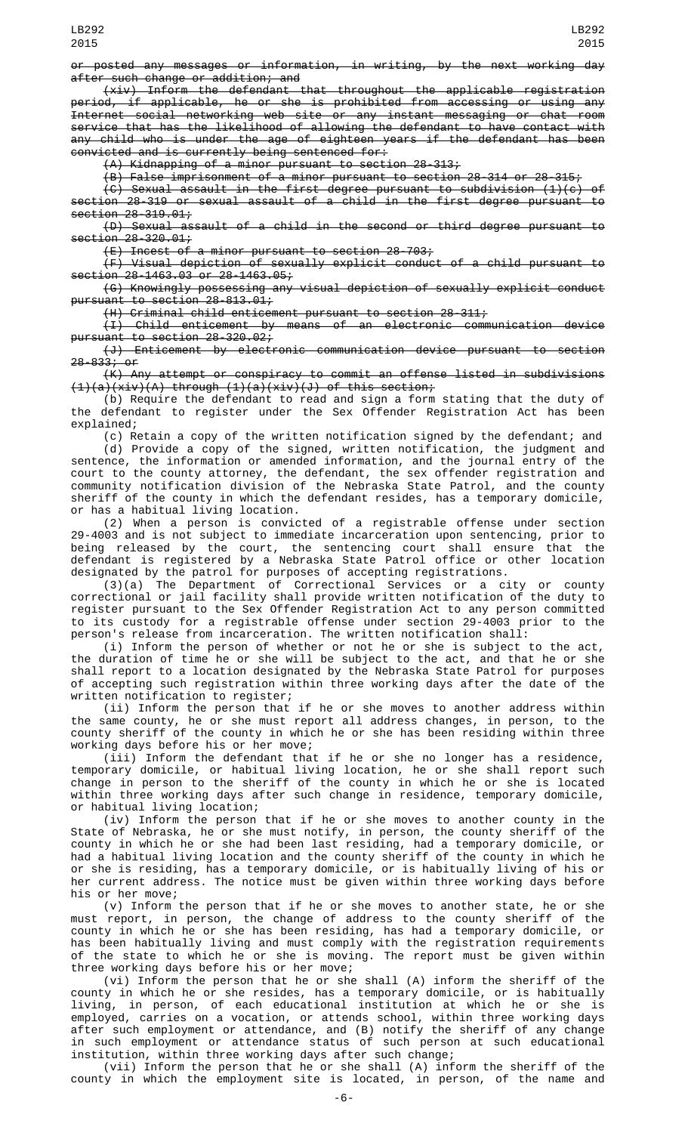or posted any messages or information, in writing, by the next working day after such change or addition; and

(xiv) Inform the defendant that throughout the applicable registration period, if applicable, he or she is prohibited from accessing or using any Internet social networking web site or any instant messaging or chat room service that has the likelihood of allowing the defendant to have contact with any child who is under the age of eighteen years if the defendant has been convicted and is currently being sentenced for:

(A) Kidnapping of a minor pursuant to section 28-313;

 $(B)$  False imprisonment of a minor pursuant to section 28-314 or 28-315;

(C) Sexual assault in the first degree pursuant to subdivision (1)(c) of section 28-319 or sexual assault of a child in the first degree pursuant to section 28-319.01;

(D) Sexual assault of a child in the second or third degree pursuant to  $seti$ on  $28 - 320.01$ ;

(E) Incest of a minor pursuant to section 28-703;

(F) Visual depiction of sexually explicit conduct of a child pursuant to section 28-1463.03 or 28-1463.05;

(G) Knowingly possessing any visual depiction of sexually explicit conduct pursuant to section 28-813.01;

(H) Criminal child enticement pursuant to section 28-311;

(I) Child enticement by means of an electronic communication device pursuant to section 28-320.02;

(J) Enticement by electronic communication device pursuant to section 28-833; or

(K) Any attempt or conspiracy to commit an offense listed in subdivisions (1)(a)(xiv)(A) through (1)(a)(xiv)(J) of this section;

(b) Require the defendant to read and sign a form stating that the duty of the defendant to register under the Sex Offender Registration Act has been explained;

(c) Retain a copy of the written notification signed by the defendant; and (d) Provide a copy of the signed, written notification, the judgment and sentence, the information or amended information, and the journal entry of the court to the county attorney, the defendant, the sex offender registration and community notification division of the Nebraska State Patrol, and the county sheriff of the county in which the defendant resides, has a temporary domicile, or has a habitual living location.

(2) When a person is convicted of a registrable offense under section 29-4003 and is not subject to immediate incarceration upon sentencing, prior to being released by the court, the sentencing court shall ensure that the defendant is registered by a Nebraska State Patrol office or other location designated by the patrol for purposes of accepting registrations.

(3)(a) The Department of Correctional Services or a city or county correctional or jail facility shall provide written notification of the duty to register pursuant to the Sex Offender Registration Act to any person committed to its custody for a registrable offense under section 29-4003 prior to the person's release from incarceration. The written notification shall:

(i) Inform the person of whether or not he or she is subject to the act, the duration of time he or she will be subject to the act, and that he or she shall report to a location designated by the Nebraska State Patrol for purposes of accepting such registration within three working days after the date of the written notification to register;

(ii) Inform the person that if he or she moves to another address within the same county, he or she must report all address changes, in person, to the county sheriff of the county in which he or she has been residing within three working days before his or her move;

(iii) Inform the defendant that if he or she no longer has a residence, temporary domicile, or habitual living location, he or she shall report such change in person to the sheriff of the county in which he or she is located within three working days after such change in residence, temporary domicile, or habitual living location;

(iv) Inform the person that if he or she moves to another county in the State of Nebraska, he or she must notify, in person, the county sheriff of the county in which he or she had been last residing, had a temporary domicile, or had a habitual living location and the county sheriff of the county in which he or she is residing, has a temporary domicile, or is habitually living of his or her current address. The notice must be given within three working days before his or her move;

(v) Inform the person that if he or she moves to another state, he or she must report, in person, the change of address to the county sheriff of the county in which he or she has been residing, has had a temporary domicile, or has been habitually living and must comply with the registration requirements of the state to which he or she is moving. The report must be given within three working days before his or her move;

(vi) Inform the person that he or she shall (A) inform the sheriff of the county in which he or she resides, has a temporary domicile, or is habitually living, in person, of each educational institution at which he or she is employed, carries on a vocation, or attends school, within three working days after such employment or attendance, and (B) notify the sheriff of any change in such employment or attendance status of such person at such educational institution, within three working days after such change;

(vii) Inform the person that he or she shall (A) inform the sheriff of the county in which the employment site is located, in person, of the name and